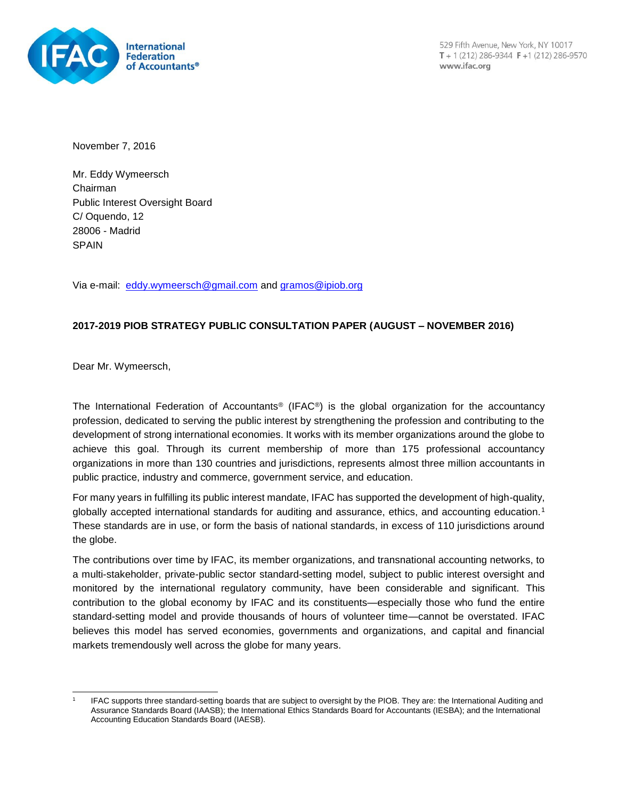

529 Fifth Avenue, New York, NY 10017  $T + 1(212) 286 - 9344 F + 1(212) 286 - 9570$ www.ifac.org

November 7, 2016

Mr. Eddy Wymeersch Chairman Public Interest Oversight Board C/ Oquendo, 12 28006 - Madrid SPAIN

Via e-mail: [eddy.wymeersch@gmail.com](mailto:eddy.wymeersch@gmail.com) and [gramos@ipiob.org](mailto:gramos@ipiob.org)

### **2017-2019 PIOB STRATEGY PUBLIC CONSULTATION PAPER (AUGUST – NOVEMBER 2016)**

Dear Mr. Wymeersch,

The International Federation of Accountants® (IFAC®) is the global organization for the accountancy profession, dedicated to serving the public interest by strengthening the profession and contributing to the development of strong international economies. It works with its member organizations around the globe to achieve this goal. Through its current membership of more than 175 professional accountancy organizations in more than 130 countries and jurisdictions, represents almost three million accountants in public practice, industry and commerce, government service, and education.

For many years in fulfilling its public interest mandate, IFAC has supported the development of high-quality, globally accepted international standards for auditing and assurance, ethics, and accounting education.<sup>1</sup> These standards are in use, or form the basis of national standards, in excess of 110 jurisdictions around the globe.

The contributions over time by IFAC, its member organizations, and transnational accounting networks, to a multi-stakeholder, private-public sector standard-setting model, subject to public interest oversight and monitored by the international regulatory community, have been considerable and significant. This contribution to the global economy by IFAC and its constituents—especially those who fund the entire standard-setting model and provide thousands of hours of volunteer time—cannot be overstated. IFAC believes this model has served economies, governments and organizations, and capital and financial markets tremendously well across the globe for many years.

l 1 IFAC supports three standard-setting boards that are subject to oversight by the PIOB. They are: the International Auditing and Assurance Standards Board (IAASB); the International Ethics Standards Board for Accountants (IESBA); and the International Accounting Education Standards Board (IAESB).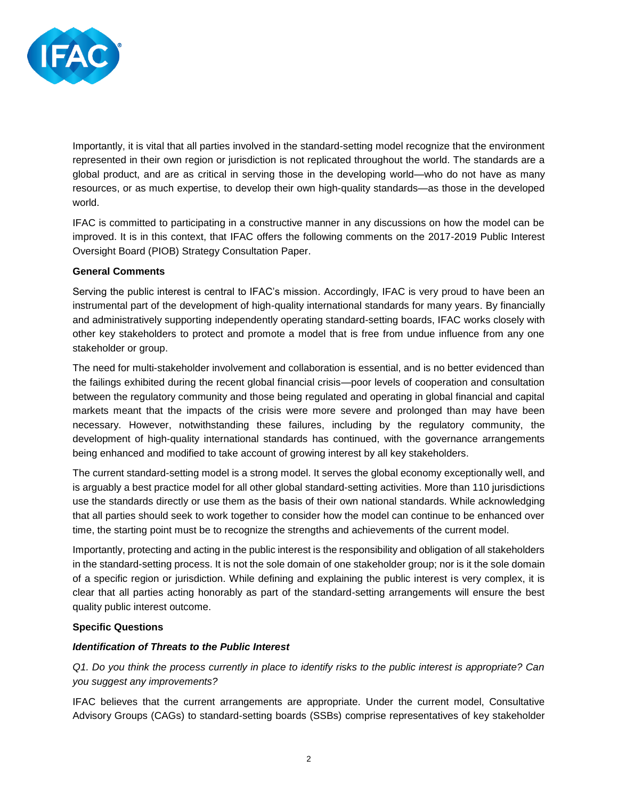

Importantly, it is vital that all parties involved in the standard-setting model recognize that the environment represented in their own region or jurisdiction is not replicated throughout the world. The standards are a global product, and are as critical in serving those in the developing world—who do not have as many resources, or as much expertise, to develop their own high-quality standards—as those in the developed world.

IFAC is committed to participating in a constructive manner in any discussions on how the model can be improved. It is in this context, that IFAC offers the following comments on the 2017-2019 Public Interest Oversight Board (PIOB) Strategy Consultation Paper.

#### **General Comments**

Serving the public interest is central to IFAC's mission. Accordingly, IFAC is very proud to have been an instrumental part of the development of high-quality international standards for many years. By financially and administratively supporting independently operating standard-setting boards, IFAC works closely with other key stakeholders to protect and promote a model that is free from undue influence from any one stakeholder or group.

The need for multi-stakeholder involvement and collaboration is essential, and is no better evidenced than the failings exhibited during the recent global financial crisis—poor levels of cooperation and consultation between the regulatory community and those being regulated and operating in global financial and capital markets meant that the impacts of the crisis were more severe and prolonged than may have been necessary. However, notwithstanding these failures, including by the regulatory community, the development of high-quality international standards has continued, with the governance arrangements being enhanced and modified to take account of growing interest by all key stakeholders.

The current standard-setting model is a strong model. It serves the global economy exceptionally well, and is arguably a best practice model for all other global standard-setting activities. More than 110 jurisdictions use the standards directly or use them as the basis of their own national standards. While acknowledging that all parties should seek to work together to consider how the model can continue to be enhanced over time, the starting point must be to recognize the strengths and achievements of the current model.

Importantly, protecting and acting in the public interest is the responsibility and obligation of all stakeholders in the standard-setting process. It is not the sole domain of one stakeholder group; nor is it the sole domain of a specific region or jurisdiction. While defining and explaining the public interest is very complex, it is clear that all parties acting honorably as part of the standard-setting arrangements will ensure the best quality public interest outcome.

#### **Specific Questions**

# *Identification of Threats to the Public Interest*

*Q1. Do you think the process currently in place to identify risks to the public interest is appropriate? Can you suggest any improvements?*

IFAC believes that the current arrangements are appropriate. Under the current model, Consultative Advisory Groups (CAGs) to standard-setting boards (SSBs) comprise representatives of key stakeholder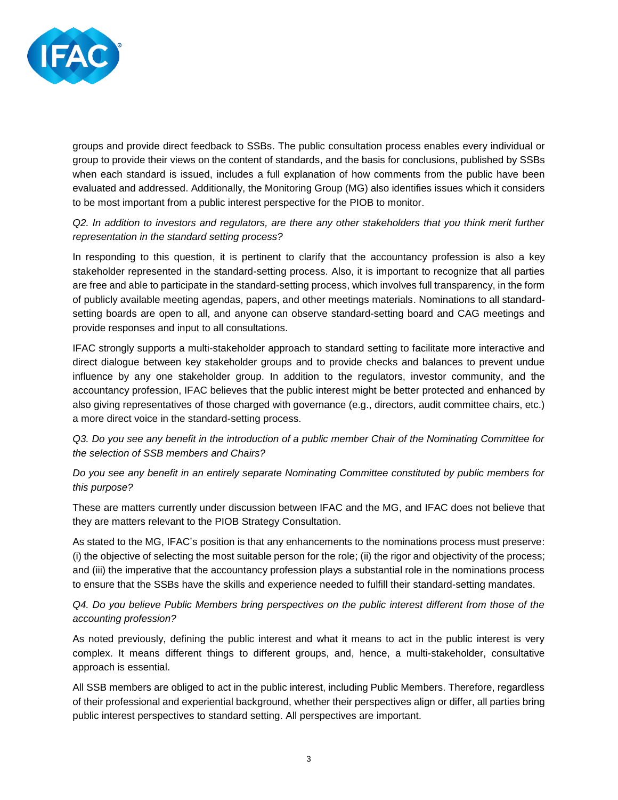

groups and provide direct feedback to SSBs. The public consultation process enables every individual or group to provide their views on the content of standards, and the basis for conclusions, published by SSBs when each standard is issued, includes a full explanation of how comments from the public have been evaluated and addressed. Additionally, the Monitoring Group (MG) also identifies issues which it considers to be most important from a public interest perspective for the PIOB to monitor.

### *Q2. In addition to investors and regulators, are there any other stakeholders that you think merit further representation in the standard setting process?*

In responding to this question, it is pertinent to clarify that the accountancy profession is also a key stakeholder represented in the standard-setting process. Also, it is important to recognize that all parties are free and able to participate in the standard-setting process, which involves full transparency, in the form of publicly available meeting agendas, papers, and other meetings materials. Nominations to all standardsetting boards are open to all, and anyone can observe standard-setting board and CAG meetings and provide responses and input to all consultations.

IFAC strongly supports a multi-stakeholder approach to standard setting to facilitate more interactive and direct dialogue between key stakeholder groups and to provide checks and balances to prevent undue influence by any one stakeholder group. In addition to the regulators, investor community, and the accountancy profession, IFAC believes that the public interest might be better protected and enhanced by also giving representatives of those charged with governance (e.g., directors, audit committee chairs, etc.) a more direct voice in the standard-setting process.

# *Q3. Do you see any benefit in the introduction of a public member Chair of the Nominating Committee for the selection of SSB members and Chairs?*

# *Do you see any benefit in an entirely separate Nominating Committee constituted by public members for this purpose?*

These are matters currently under discussion between IFAC and the MG, and IFAC does not believe that they are matters relevant to the PIOB Strategy Consultation.

As stated to the MG, IFAC's position is that any enhancements to the nominations process must preserve: (i) the objective of selecting the most suitable person for the role; (ii) the rigor and objectivity of the process; and (iii) the imperative that the accountancy profession plays a substantial role in the nominations process to ensure that the SSBs have the skills and experience needed to fulfill their standard-setting mandates.

# *Q4. Do you believe Public Members bring perspectives on the public interest different from those of the accounting profession?*

As noted previously, defining the public interest and what it means to act in the public interest is very complex. It means different things to different groups, and, hence, a multi-stakeholder, consultative approach is essential.

All SSB members are obliged to act in the public interest, including Public Members. Therefore, regardless of their professional and experiential background, whether their perspectives align or differ, all parties bring public interest perspectives to standard setting. All perspectives are important.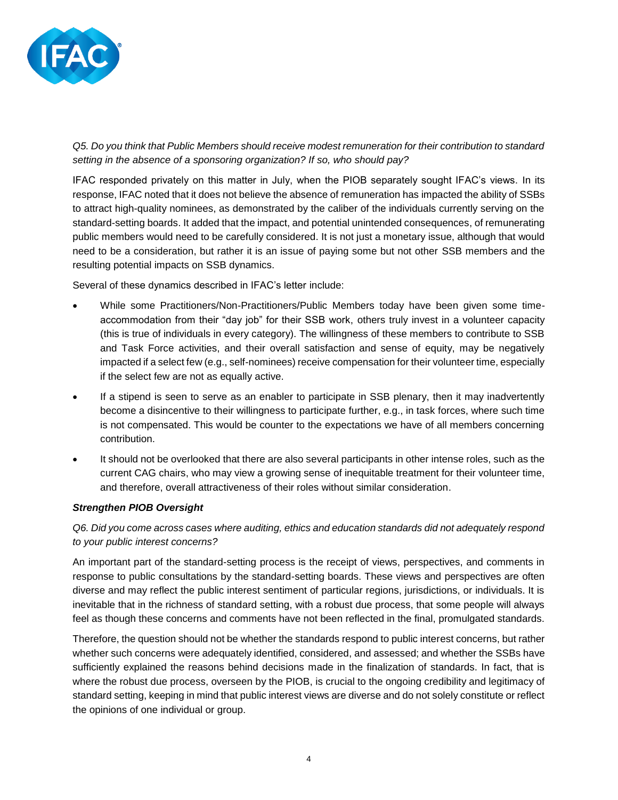

*Q5. Do you think that Public Members should receive modest remuneration for their contribution to standard setting in the absence of a sponsoring organization? If so, who should pay?*

IFAC responded privately on this matter in July, when the PIOB separately sought IFAC's views. In its response, IFAC noted that it does not believe the absence of remuneration has impacted the ability of SSBs to attract high-quality nominees, as demonstrated by the caliber of the individuals currently serving on the standard-setting boards. It added that the impact, and potential unintended consequences, of remunerating public members would need to be carefully considered. It is not just a monetary issue, although that would need to be a consideration, but rather it is an issue of paying some but not other SSB members and the resulting potential impacts on SSB dynamics.

Several of these dynamics described in IFAC's letter include:

- While some Practitioners/Non-Practitioners/Public Members today have been given some timeaccommodation from their "day job" for their SSB work, others truly invest in a volunteer capacity (this is true of individuals in every category). The willingness of these members to contribute to SSB and Task Force activities, and their overall satisfaction and sense of equity, may be negatively impacted if a select few (e.g., self-nominees) receive compensation for their volunteer time, especially if the select few are not as equally active.
- If a stipend is seen to serve as an enabler to participate in SSB plenary, then it may inadvertently become a disincentive to their willingness to participate further, e.g., in task forces, where such time is not compensated. This would be counter to the expectations we have of all members concerning contribution.
- It should not be overlooked that there are also several participants in other intense roles, such as the current CAG chairs, who may view a growing sense of inequitable treatment for their volunteer time, and therefore, overall attractiveness of their roles without similar consideration.

#### *Strengthen PIOB Oversight*

# *Q6. Did you come across cases where auditing, ethics and education standards did not adequately respond to your public interest concerns?*

An important part of the standard-setting process is the receipt of views, perspectives, and comments in response to public consultations by the standard-setting boards. These views and perspectives are often diverse and may reflect the public interest sentiment of particular regions, jurisdictions, or individuals. It is inevitable that in the richness of standard setting, with a robust due process, that some people will always feel as though these concerns and comments have not been reflected in the final, promulgated standards.

Therefore, the question should not be whether the standards respond to public interest concerns, but rather whether such concerns were adequately identified, considered, and assessed; and whether the SSBs have sufficiently explained the reasons behind decisions made in the finalization of standards. In fact, that is where the robust due process, overseen by the PIOB, is crucial to the ongoing credibility and legitimacy of standard setting, keeping in mind that public interest views are diverse and do not solely constitute or reflect the opinions of one individual or group.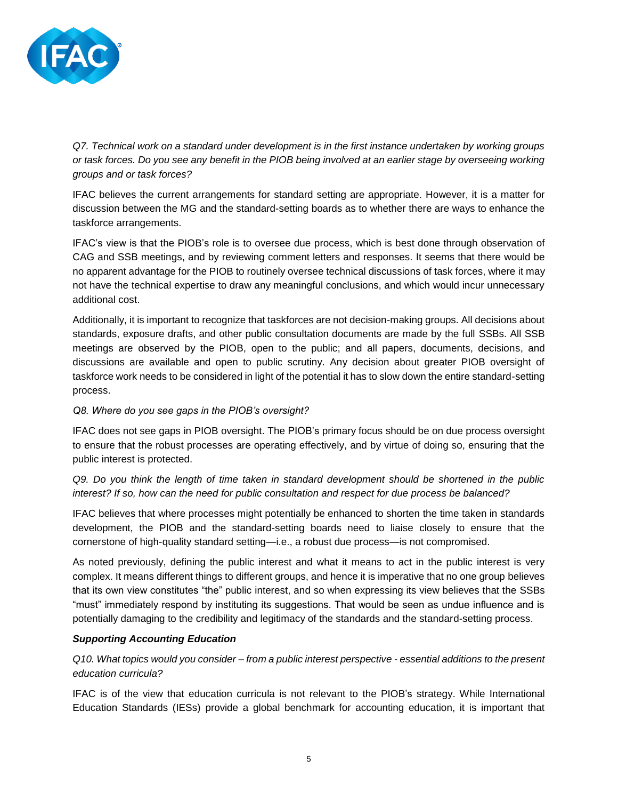

*Q7. Technical work on a standard under development is in the first instance undertaken by working groups or task forces. Do you see any benefit in the PIOB being involved at an earlier stage by overseeing working groups and or task forces?*

IFAC believes the current arrangements for standard setting are appropriate. However, it is a matter for discussion between the MG and the standard-setting boards as to whether there are ways to enhance the taskforce arrangements.

IFAC's view is that the PIOB's role is to oversee due process, which is best done through observation of CAG and SSB meetings, and by reviewing comment letters and responses. It seems that there would be no apparent advantage for the PIOB to routinely oversee technical discussions of task forces, where it may not have the technical expertise to draw any meaningful conclusions, and which would incur unnecessary additional cost.

Additionally, it is important to recognize that taskforces are not decision-making groups. All decisions about standards, exposure drafts, and other public consultation documents are made by the full SSBs. All SSB meetings are observed by the PIOB, open to the public; and all papers, documents, decisions, and discussions are available and open to public scrutiny. Any decision about greater PIOB oversight of taskforce work needs to be considered in light of the potential it has to slow down the entire standard-setting process.

#### *Q8. Where do you see gaps in the PIOB's oversight?*

IFAC does not see gaps in PIOB oversight. The PIOB's primary focus should be on due process oversight to ensure that the robust processes are operating effectively, and by virtue of doing so, ensuring that the public interest is protected.

*Q9. Do you think the length of time taken in standard development should be shortened in the public interest? If so, how can the need for public consultation and respect for due process be balanced?*

IFAC believes that where processes might potentially be enhanced to shorten the time taken in standards development, the PIOB and the standard-setting boards need to liaise closely to ensure that the cornerstone of high-quality standard setting—i.e., a robust due process—is not compromised.

As noted previously, defining the public interest and what it means to act in the public interest is very complex. It means different things to different groups, and hence it is imperative that no one group believes that its own view constitutes "the" public interest, and so when expressing its view believes that the SSBs "must" immediately respond by instituting its suggestions. That would be seen as undue influence and is potentially damaging to the credibility and legitimacy of the standards and the standard-setting process.

#### *Supporting Accounting Education*

*Q10. What topics would you consider – from a public interest perspective - essential additions to the present education curricula?*

IFAC is of the view that education curricula is not relevant to the PIOB's strategy. While International Education Standards (IESs) provide a global benchmark for accounting education, it is important that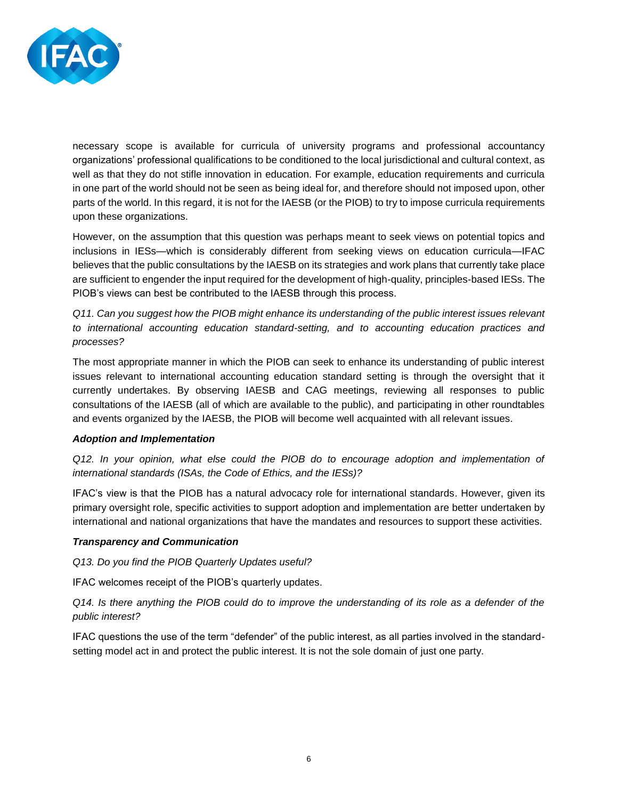

necessary scope is available for curricula of university programs and professional accountancy organizations' professional qualifications to be conditioned to the local jurisdictional and cultural context, as well as that they do not stifle innovation in education. For example, education requirements and curricula in one part of the world should not be seen as being ideal for, and therefore should not imposed upon, other parts of the world. In this regard, it is not for the IAESB (or the PIOB) to try to impose curricula requirements upon these organizations.

However, on the assumption that this question was perhaps meant to seek views on potential topics and inclusions in IESs—which is considerably different from seeking views on education curricula—IFAC believes that the public consultations by the IAESB on its strategies and work plans that currently take place are sufficient to engender the input required for the development of high-quality, principles-based IESs. The PIOB's views can best be contributed to the IAESB through this process.

*Q11. Can you suggest how the PIOB might enhance its understanding of the public interest issues relevant to international accounting education standard-setting, and to accounting education practices and processes?*

The most appropriate manner in which the PIOB can seek to enhance its understanding of public interest issues relevant to international accounting education standard setting is through the oversight that it currently undertakes. By observing IAESB and CAG meetings, reviewing all responses to public consultations of the IAESB (all of which are available to the public), and participating in other roundtables and events organized by the IAESB, the PIOB will become well acquainted with all relevant issues.

#### *Adoption and Implementation*

*Q12. In your opinion, what else could the PIOB do to encourage adoption and implementation of international standards (ISAs, the Code of Ethics, and the IESs)?*

IFAC's view is that the PIOB has a natural advocacy role for international standards. However, given its primary oversight role, specific activities to support adoption and implementation are better undertaken by international and national organizations that have the mandates and resources to support these activities.

#### *Transparency and Communication*

*Q13. Do you find the PIOB Quarterly Updates useful?*

IFAC welcomes receipt of the PIOB's quarterly updates.

*Q14. Is there anything the PIOB could do to improve the understanding of its role as a defender of the public interest?*

IFAC questions the use of the term "defender" of the public interest, as all parties involved in the standardsetting model act in and protect the public interest. It is not the sole domain of just one party.